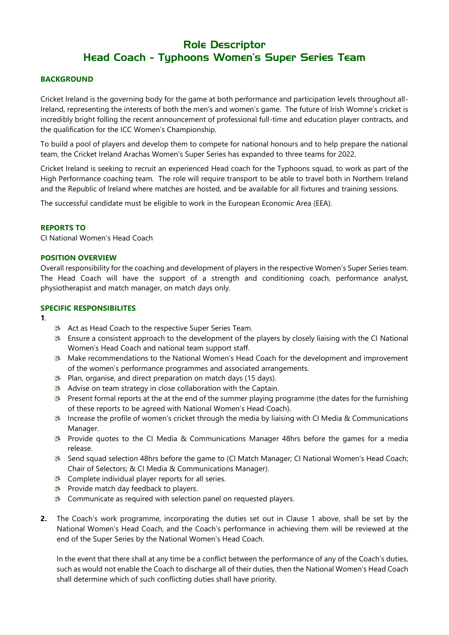# Role Descriptor Head Coach - Typhoons Women's Super Series Team

# **BACKGROUND**

Cricket Ireland is the governing body for the game at both performance and participation levels throughout all-Ireland, representing the interests of both the men's and women's game. The future of Irish Womne's cricket is incredibly bright folling the recent announcement of professional full-time and education player contracts, and the qualification for the ICC Women's Championship.

To build a pool of players and develop them to compete for national honours and to help prepare the national team, the Cricket Ireland Arachas Women's Super Series has expanded to three teams for 2022.

Cricket Ireland is seeking to recruit an experienced Head coach for the Typhoons squad, to work as part of the High Performance coaching team. The role will require transport to be able to travel both in Northern Ireland and the Republic of Ireland where matches are hosted, and be available for all fixtures and training sessions.

The successful candidate must be eligible to work in the European Economic Area (EEA).

#### **REPORTS TO**

CI National Women's Head Coach

#### **POSITION OVERVIEW**

Overall responsibility for the coaching and development of players in the respective Women's Super Series team. The Head Coach will have the support of a strength and conditioning coach, performance analyst, physiotherapist and match manager, on match days only.

#### **SPECIFIC RESPONSIBILITES**

**1**.

- Act as Head Coach to the respective Super Series Team.
- **Ensure a consistent approach to the development of the players by closely liaising with the CI National** Women's Head Coach and national team support staff.
- Make recommendations to the National Women's Head Coach for the development and improvement of the women's performance programmes and associated arrangements.
- **Plan, organise, and direct preparation on match days (15 days).**
- Advise on team strategy in close collaboration with the Captain.
- Present formal reports at the at the end of the summer playing programme (the dates for the furnishing of these reports to be agreed with National Women's Head Coach).
- Increase the profile of women's cricket through the media by liaising with CI Media & Communications Manager.
- Provide quotes to the CI Media & Communications Manager 48hrs before the games for a media release.
- Send squad selection 48hrs before the game to (CI Match Manager; CI National Women's Head Coach; Chair of Selectors; & CI Media & Communications Manager).
- **Complete individual player reports for all series.**
- **Provide match day feedback to players.**
- **Communicate as required with selection panel on requested players.**
- **2.** The Coach's work programme, incorporating the duties set out in Clause 1 above, shall be set by the National Women's Head Coach, and the Coach's performance in achieving them will be reviewed at the end of the Super Series by the National Women's Head Coach.

In the event that there shall at any time be a conflict between the performance of any of the Coach's duties, such as would not enable the Coach to discharge all of their duties, then the National Women's Head Coach shall determine which of such conflicting duties shall have priority.